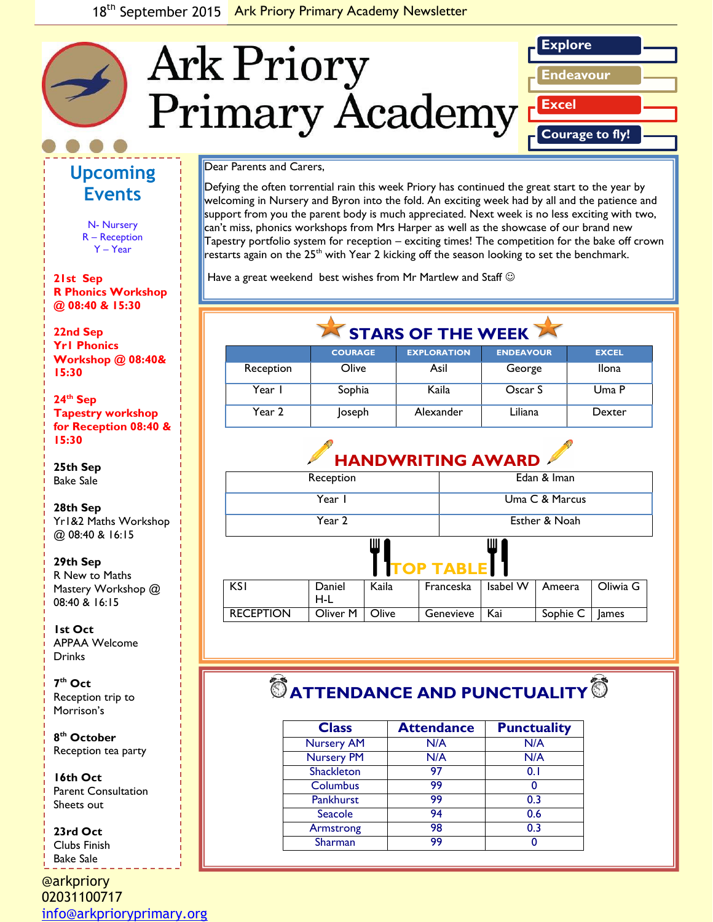

## **Upcoming Events**

N- Nursery R – Reception Y – Year

**21st Sep R Phonics Workshop @ 08:40 & 15:30**

*Caption describing*  **22nd Sep** *picture or graphic.* **Yr1 Phonics Workshop @ 08:40& 15:30** 

**24th Sep Tapestry workshop for Reception 08:40 & 15:30**

**25th Sep** Bake Sale

### **28th Sep**

Yr1&2 Maths Workshop @ 08:40 & 16:15

#### **29th Sep**

R New to Maths Mastery Workshop @ 08:40 & 16:15

**1st Oct**  APPAA Welcome **Drinks** 

**7 th Oct**  Reception trip to Morrison's

**8 th October**  Reception tea party

**16th Oct** Parent Consultation Sheets out

### **23rd Oct**  Clubs Finish

Bake Sale

@arkpriory 02031100717 [info@arkprioryprimary.org](mailto:info@arkprioryprimary.org) 

### Dear Parents and Carers,

Defying the often torrential rain this week Priory has continued the great start to the year by welcoming in Nursery and Byron into the fold. An exciting week had by all and the patience and support from you the parent body is much appreciated. Next week is no less exciting with two, can't miss, phonics workshops from Mrs Harper as well as the showcase of our brand new Tapestry portfolio system for reception – exciting times! The competition for the bake off crown restarts again on the  $25<sup>th</sup>$  with Year 2 kicking off the season looking to set the benchmark.

Have a great weekend best wishes from Mr Martlew and Staff  $\odot$ 

| $\sqrt{2}$ STARS OF THE WEEK |                |                    |                  |              |
|------------------------------|----------------|--------------------|------------------|--------------|
|                              | <b>COURAGE</b> | <b>EXPLORATION</b> | <b>ENDEAVOUR</b> | <b>EXCEL</b> |
| Reception                    | Olive          | Asil               | George           | <b>Ilona</b> |
| Year I                       | Sophia         | Kaila              | Oscar S          | Uma P        |
| Year 2                       | Joseph         | Alexander          | Liliana          | Dexter       |

# **HANDWRITING AWARD**

| $\cdots$  | $\cdots$       |
|-----------|----------------|
| Year 2    | Esther & Noah  |
| Year I    | Uma C & Marcus |
| Reception | Edan & Iman    |

# **TOP TABLE**

| KS I             | Daniel           | Kaila | Franceska       | Isabel W   Ameera |                  | Oliwia G |
|------------------|------------------|-------|-----------------|-------------------|------------------|----------|
|                  | H-L              |       |                 |                   |                  |          |
| <b>RECEPTION</b> | Oliver M   Olive |       | Genevieve   Kai |                   | Sophie C   James |          |

# $\bullet$  ATTENDANCE AND PUNCTUALITY<sup>®</sup>

| <b>Class</b>      | <b>Attendance</b> | <b>Punctuality</b> |
|-------------------|-------------------|--------------------|
| <b>Nursery AM</b> | N/A               | N/A                |
| <b>Nursery PM</b> | N/A               | N/A                |
| <b>Shackleton</b> | 97                | 0.1                |
| Columbus          | 99                | O                  |
| Pankhurst         | 99                | 0.3                |
| Seacole           | 94                | 0.6                |
| Armstrong         | 98                | 0.3                |
| Sharman           | 99                |                    |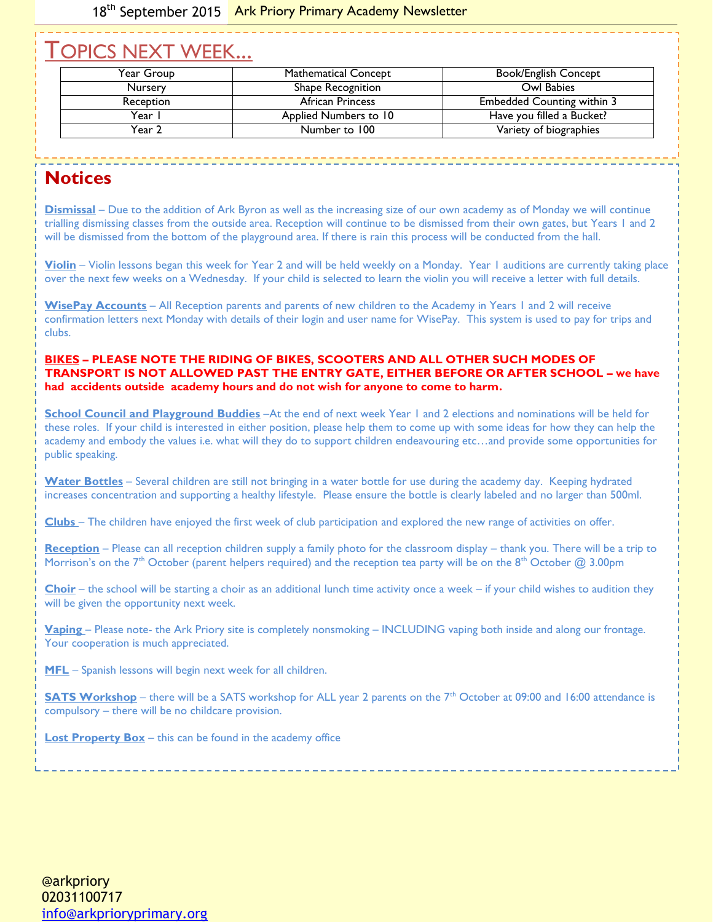## TOPICS NEXT WEEK...

| Year Group     | <b>Mathematical Concept</b> | <b>Book/English Concept</b>       |
|----------------|-----------------------------|-----------------------------------|
| <b>Nursery</b> | Shape Recognition           | Owl Babies                        |
| Reception      | African Princess            | <b>Embedded Counting within 3</b> |
| Year I         | Applied Numbers to 10       | Have you filled a Bucket?         |
| Year 2         | Number to 100               | Variety of biographies            |

### **Notices**

**Dismissal** – Due to the addition of Ark Byron as well as the increasing size of our own academy as of Monday we will continue trialling dismissing classes from the outside area. Reception will continue to be dismissed from their own gates, but Years 1 and 2 will be dismissed from the bottom of the playground area. If there is rain this process will be conducted from the hall.

**Violin** – Violin lessons began this week for Year 2 and will be held weekly on a Monday. Year 1 auditions are currently taking place over the next few weeks on a Wednesday. If your child is selected to learn the violin you will receive a letter with full details.

**WisePay Accounts** – All Reception parents and parents of new children to the Academy in Years 1 and 2 will receive confirmation letters next Monday with details of their login and user name for WisePay. This system is used to pay for trips and clubs.

### **BIKES – PLEASE NOTE THE RIDING OF BIKES, SCOOTERS AND ALL OTHER SUCH MODES OF TRANSPORT IS NOT ALLOWED PAST THE ENTRY GATE, EITHER BEFORE OR AFTER SCHOOL – we have had accidents outside academy hours and do not wish for anyone to come to harm.**

**School Council and Playground Buddies** –At the end of next week Year 1 and 2 elections and nominations will be held for these roles. If your child is interested in either position, please help them to come up with some ideas for how they can help the academy and embody the values i.e. what will they do to support children endeavouring etc…and provide some opportunities for public speaking.

**Water Bottles** – Several children are still not bringing in a water bottle for use during the academy day. Keeping hydrated increases concentration and supporting a healthy lifestyle. Please ensure the bottle is clearly labeled and no larger than 500ml.

**Clubs** – The children have enjoyed the first week of club participation and explored the new range of activities on offer.

**Reception** – Please can all reception children supply a family photo for the classroom display – thank you. There will be a trip to Morrison's on the 7<sup>th</sup> October (parent helpers required) and the reception tea party will be on the 8<sup>th</sup> October @ 3.00pm

**Choir** – the school will be starting a choir as an additional lunch time activity once a week – if your child wishes to audition they will be given the opportunity next week.

**Vaping** – Please note- the Ark Priory site is completely nonsmoking – INCLUDING vaping both inside and along our frontage. Your cooperation is much appreciated.

**MFL** – Spanish lessons will begin next week for all children.

**SATS Workshop** – there will be a SATS workshop for ALL year 2 parents on the 7<sup>th</sup> October at 09:00 and 16:00 attendance is compulsory – there will be no childcare provision.

**Lost Property Box** – this can be found in the academy office